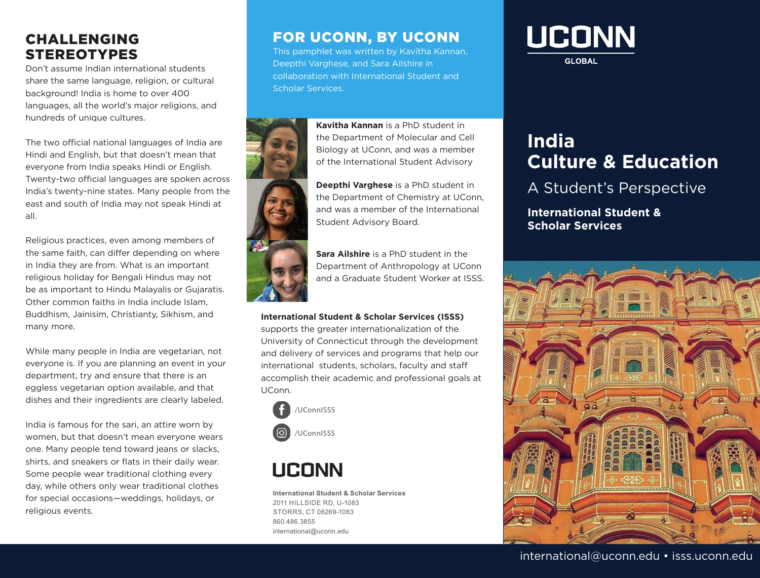#### CHALLENGING STEREOTYPES

Don't assume Indian international students share the same language, religion, or cultural background! India is home to over 400 languages, all the world's major religions, and hundreds of unique cultures.

The two official national languages of India are Hindi and English, but that doesn't mean that everyone from India speaks Hindi or English. Twenty-two official languages are spoken across India's twenty-nine states. Many people from the east and south of India may not speak Hindi at all.

Religious practices, even among members of the same faith, can differ depending on where in India they are from. What is an important religious holiday for Bengali Hindus may not be as important to Hindu Malayalis or Gujaratis. Other common faiths in India include Islam, Buddhism, Jainisim, Christianty, Sikhism, and many more.

While many people in India are vegetarian, not everyone is. If you are planning an event in your department, try and ensure that there is an eggless vegetarian option available, and that dishes and their ingredients are clearly labeled.

India is famous for the sari, an attire worn by women, but that doesn't mean everyone wears one. Many people tend toward jeans or slacks, shirts, and sneakers or flats in their daily wear. Some people wear traditional clothing every day, while others only wear traditional clothes for special occasions—weddings, holidays, or religious events.

### FOR UCONN, BY UCONN

This pamphlet was written by Kavitha Kannan, Deepthi Varghese, and Sara Ailshire in collaboration with International Student and Scholar Services.



**Kavitha Kannan** is a PhD student in the Department of Molecular and Cell Biology at UConn, and was a member of the International Student Advisory

**Deepthi Varghese** is a PhD student in the Department of Chemistry at UConn, and was a member of the International Student Advisory Board.

**Sara Ailshire** is a PhD student in the Department of Anthropology at UConn and a Graduate Student Worker at ISSS.

#### **International Student & Scholar Services (ISSS)**

supports the greater internationalization of the University of Connecticut through the development and delivery of services and programs that help our international students, scholars, faculty and staff accomplish their academic and professional goals at UConn.



# LICONN

**International Student & Scholar Services**  2011 HILLSIDE RD, U-1083 STORRS, CT 06269-1083 860.486.3855 international@uconn.edu

# **UCONN**

**GLOBAL** 

## **India Culture & Education**

## A Student's Perspective

**International Student & Scholar Services**



#### international@uconn.edu • isss.uconn.edu